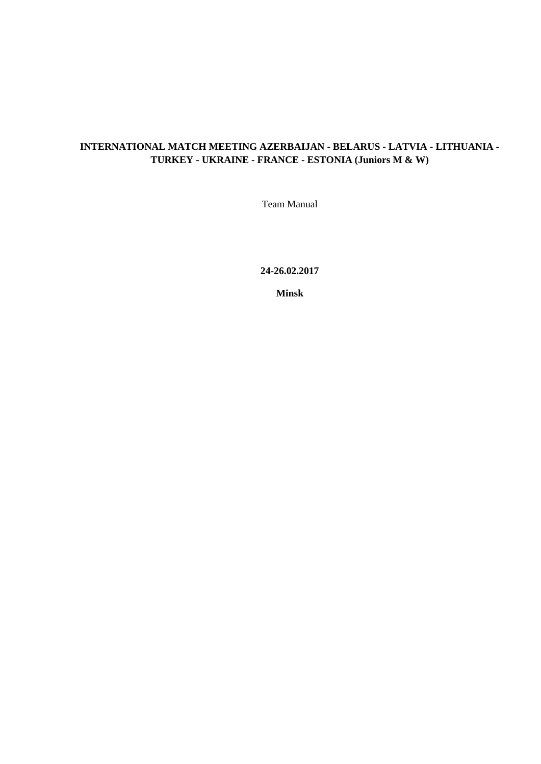# **INTERNATIONAL MATCH MEETING AZERBAIJAN - BELARUS - LATVIA - LITHUANIA - TURKEY - UKRAINE - FRANCE - ESTONIA (Juniors M & W)**

Team Manual

**24-26.02.2017**

**Minsk**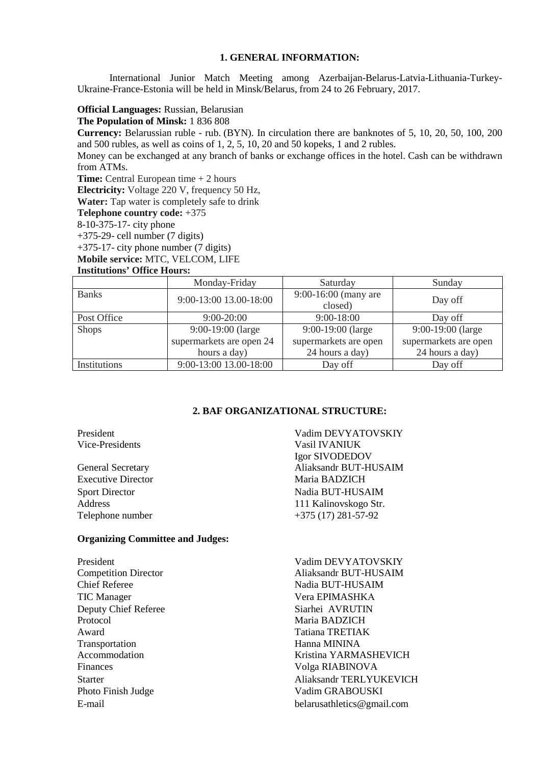#### **1. GENERAL INFORMATION:**

International Junior Match Meeting among Azerbaijan-Belarus-Latvia-Lithuania-Turkey-Ukraine-France-Estonia will be held in Minsk/Belarus, from 24 to 26 February, 2017.

# **Official Languages:** Russian, Belarusian

# **The Population of Minsk:** 1 836 808

**Currency:** Belarussian ruble - rub. (BYN). In circulation there are banknotes of 5, 10, 20, 50, 100, 200 and 500 rubles, as well as coins of 1, 2, 5, 10, 20 and 50 kopeks, 1 and 2 rubles.

Money can be exchanged at any branch of banks or exchange offices in the hotel. Cash can be withdrawn from ATMs.

**Time:** Central European time + 2 hours

**Electricity:** Voltage 220 V, frequency 50 Hz,

**Water:** Tap water is completely safe to drink

**Telephone country code:** +375

8-10-375-17- city phone

+375-29- cell number (7 digits)

+375-17- city phone number (7 digits)

**Mobile service:** MTC, VELCOM, LIFE

#### **Institutions' Office Hours:**

|              | Monday-Friday            | Saturday               | Sunday                |  |
|--------------|--------------------------|------------------------|-----------------------|--|
| <b>Banks</b> | 9:00-13:00 13.00-18:00   | $9:00-16:00$ (many are | Day off               |  |
|              |                          | closed)                |                       |  |
| Post Office  | $9:00 - 20:00$           | $9:00-18:00$           | Day off               |  |
| <b>Shops</b> | $9:00-19:00$ (large      | 9:00-19:00 (large      | 9:00-19:00 (large     |  |
|              | supermarkets are open 24 | supermarkets are open  | supermarkets are open |  |
|              | hours a day)             | 24 hours a day)        | 24 hours a day)       |  |
| Institutions | 9:00-13:00 13.00-18:00   | Day off                | Day off               |  |

# **2. BAF ORGANIZATIONAL STRUCTURE:**

Executive Director Maria BADZICH

#### **Organizing Committee and Judges:**

| President                   |
|-----------------------------|
| <b>Competition Director</b> |
| <b>Chief Referee</b>        |
| <b>TIC</b> Manager          |
| Deputy Chief Referee        |
| Protocol                    |
| Award                       |
| Transportation              |
| Accommodation               |
| Finances                    |
| Starter                     |
| Photo Finish Judge          |
| E-mail                      |

President Vadim DEVYATOVSKIY<br>Vice-Presidents Vasil IVANIUK Vasil IVANIUK Igor SIVODEDOV General Secretary Aliaksandr BUT-HUSAIM Sport Director Nadia BUT-HUSAIM Address 111 Kalinovskogo Str. Telephone number +375 (17) 281-57-92

belarusathletics@gmail.com President Vadim DEVYATOVSKIY Aliaksandr BUT-HUSAIM Nadia BUT-HUSAIM Vera EPIMASHKA Siarhei AVRUTIN Maria BADZICH Tatiana TRETIAK Hanna MININA Kristina YARMASHEVICH Volga RIABINOVA Aliaksandr TERLYUKEVICH Vadim GRABOUSKI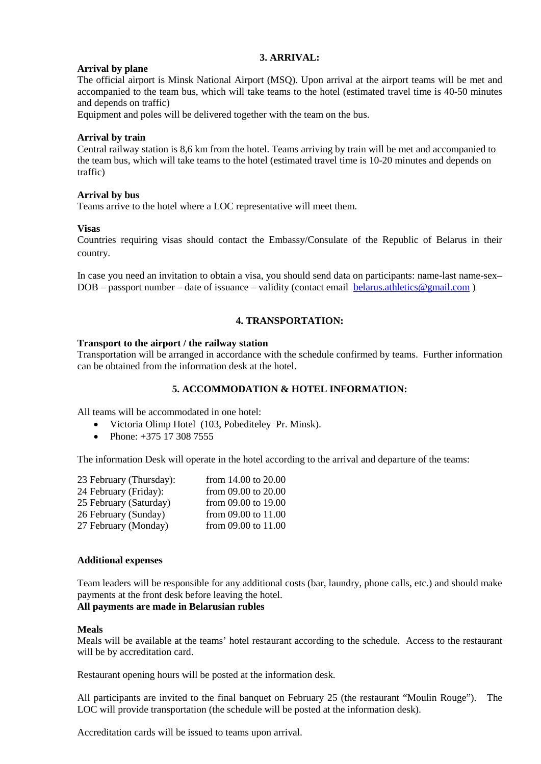# **3. ARRIVAL:**

# **Arrival by plane**

The official airport is Minsk National Airport (MSQ). Upon arrival at the airport teams will be met and accompanied to the team bus, which will take teams to the hotel (estimated travel time is 40-50 minutes and depends on traffic)

Equipment and poles will be delivered together with the team on the bus.

# **Arrival by train**

Central railway station is 8,6 km from the hotel. Teams arriving by train will be met and accompanied to the team bus, which will take teams to the hotel (estimated travel time is 10-20 minutes and depends on traffic)

# **Arrival by bus**

Teams arrive to the hotel where a LOC representative will meet them.

# **Visas**

Countries requiring visas should contact the Embassy/Consulate of the Republic of Belarus in their country.

In case you need an invitation to obtain a visa, you should send data on participants: name-last name-sex–  $DOB -$  passport number – date of issuance – validity (contact email [belarus.athletics@gmail.com](mailto:belarus.athletics@gmail.com))

# **4. TRANSPORTATION:**

# **Transport to the airport / the railway station**

Transportation will be arranged in accordance with the schedule confirmed by teams. Further information can be obtained from the information desk at the hotel.

# **5. ACCOMMODATION & HOTEL INFORMATION:**

All teams will be accommodated in one hotel:

- Victoria Olimp Hotel (103, Pobediteley Pr. Minsk).
- Phone: **+**375 17 308 7555

The information Desk will operate in the hotel according to the arrival and departure of the teams:

| 23 February (Thursday): | from 14.00 to 20.00 |
|-------------------------|---------------------|
| 24 February (Friday):   | from 09.00 to 20.00 |
| 25 February (Saturday)  | from 09.00 to 19.00 |
| 26 February (Sunday)    | from 09.00 to 11.00 |
| 27 February (Monday)    | from 09.00 to 11.00 |

### **Additional expenses**

Team leaders will be responsible for any additional costs (bar, laundry, phone calls, etc.) and should make payments at the front desk before leaving the hotel.

# **All payments are made in Belarusian rubles**

### **Meals**

Meals will be available at the teams' hotel restaurant according to the schedule. Access to the restaurant will be by accreditation card.

Restaurant opening hours will be posted at the information desk.

All participants are invited to the final banquet on February 25 (the restaurant "Moulin Rouge"). The LOC will provide transportation (the schedule will be posted at the information desk).

Accreditation cards will be issued to teams upon arrival.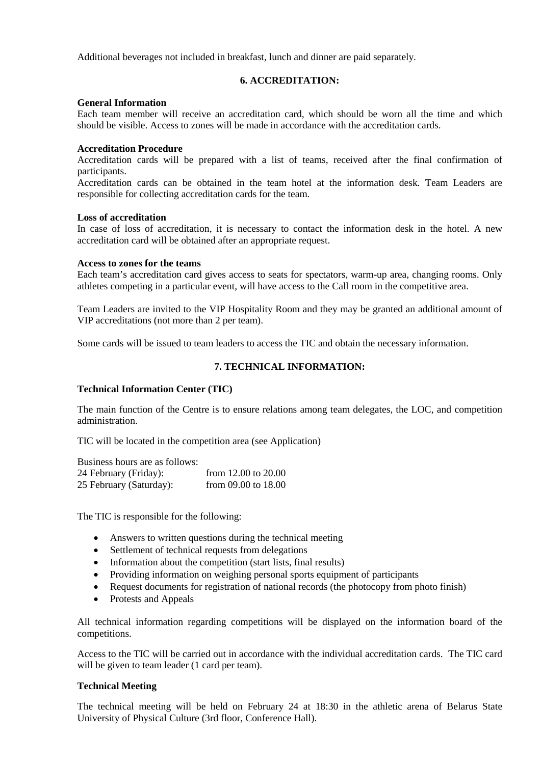Additional beverages not included in breakfast, lunch and dinner are paid separately.

### **6. ACCREDITATION:**

#### **General Information**

Each team member will receive an accreditation card, which should be worn all the time and which should be visible. Access to zones will be made in accordance with the accreditation cards.

#### **Accreditation Procedure**

Accreditation cards will be prepared with a list of teams, received after the final confirmation of participants.

Accreditation cards can be obtained in the team hotel at the information desk. Team Leaders are responsible for collecting accreditation cards for the team.

#### **Loss of accreditation**

In case of loss of accreditation, it is necessary to contact the information desk in the hotel. A new accreditation card will be obtained after an appropriate request.

#### **Access to zones for the teams**

Each team's accreditation card gives access to seats for spectators, warm-up area, changing rooms. Only athletes competing in a particular event, will have access to the Call room in the competitive area.

Team Leaders are invited to the VIP Hospitality Room and they may be granted an additional amount of VIP accreditations (not more than 2 per team).

Some cards will be issued to team leaders to access the TIC and obtain the necessary information.

# **7. TECHNICAL INFORMATION:**

# **Technical Information Center (TIC)**

The main function of the Centre is to ensure relations among team delegates, the LOC, and competition administration.

TIC will be located in the competition area (see Application)

Business hours are as follows: 24 February (Friday): from 12.00 to 20.00<br>25 February (Saturday): from 09.00 to 18.00 25 February (Saturday):

The TIC is responsible for the following:

- Answers to written questions during the technical meeting
- Settlement of technical requests from delegations
- Information about the competition (start lists, final results)
- Providing information on weighing personal sports equipment of participants
- Request documents for registration of national records (the photocopy from photo finish)
- Protests and Appeals

All technical information regarding competitions will be displayed on the information board of the competitions.

Access to the TIC will be carried out in accordance with the individual accreditation cards. The TIC card will be given to team leader (1 card per team).

### **Technical Meeting**

The technical meeting will be held on February 24 at 18:30 in the athletic arena of Belarus State University of Physical Culture (3rd floor, Conference Hall).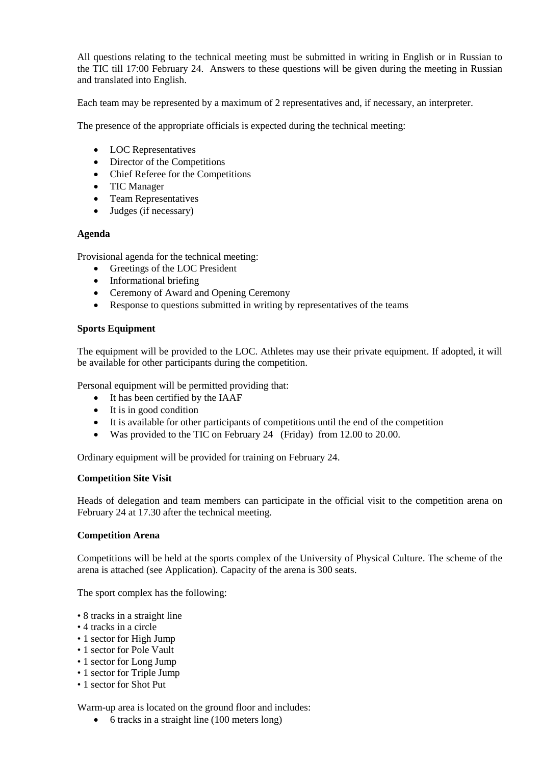All questions relating to the technical meeting must be submitted in writing in English or in Russian to the TIC till 17:00 February 24. Answers to these questions will be given during the meeting in Russian and translated into English.

Each team may be represented by a maximum of 2 representatives and, if necessary, an interpreter.

The presence of the appropriate officials is expected during the technical meeting:

- LOC Representatives
- Director of the Competitions
- Chief Referee for the Competitions
- TIC Manager
- Team Representatives
- Judges (if necessary)

### **Agenda**

Provisional agenda for the technical meeting:

- Greetings of the LOC President
- Informational briefing
- Ceremony of Award and Opening Ceremony
- Response to questions submitted in writing by representatives of the teams

### **Sports Equipment**

The equipment will be provided to the LOC. Athletes may use their private equipment. If adopted, it will be available for other participants during the competition.

Personal equipment will be permitted providing that:

- It has been certified by the IAAF
- It is in good condition
- It is available for other participants of competitions until the end of the competition
- Was provided to the TIC on February 24 (Friday) from 12.00 to 20.00.

Ordinary equipment will be provided for training on February 24.

### **Competition Site Visit**

Heads of delegation and team members can participate in the official visit to the competition arena on February 24 at 17.30 after the technical meeting.

### **Competition Arena**

Competitions will be held at the sports complex of the University of Physical Culture. The scheme of the arena is attached (see Application). Capacity of the arena is 300 seats.

The sport complex has the following:

- 8 tracks in a straight line
- 4 tracks in a circle
- 1 sector for High Jump
- 1 sector for Pole Vault
- 1 sector for Long Jump
- 1 sector for Triple Jump
- 1 sector for Shot Put

Warm-up area is located on the ground floor and includes:

• 6 tracks in a straight line (100 meters long)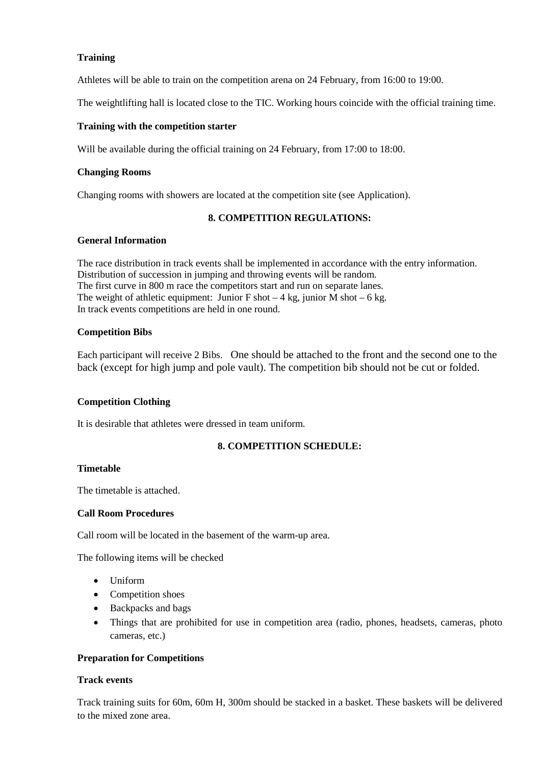# **Training**

Athletes will be able to train on the competition arena on 24 February, from 16:00 to 19:00.

The weightlifting hall is located close to the TIC. Working hours coincide with the official training time.

# **Training with the competition starter**

Will be available during the official training on 24 February, from 17:00 to 18:00.

### **Changing Rooms**

Changing rooms with showers are located at the competition site (see Application).

# **8. COMPETITION REGULATIONS:**

# **General Information**

The race distribution in track events shall be implemented in accordance with the entry information. Distribution of succession in jumping and throwing events will be random. The first curve in 800 m race the competitors start and run on separate lanes. The weight of athletic equipment: Junior F shot  $-4$  kg, junior M shot  $-6$  kg. In track events competitions are held in one round.

# **Competition Bibs**

Each participant will receive 2 Bibs. One should be attached to the front and the second one to the back (except for high jump and pole vault). The competition bib should not be cut or folded.

# **Competition Clothing**

It is desirable that athletes were dressed in team uniform.

# **8. COMPETITION SCHEDULE:**

### **Timetable**

The timetable is attached.

### **Call Room Procedures**

Call room will be located in the basement of the warm-up area.

The following items will be checked

- Uniform
- Competition shoes
- Backpacks and bags
- Things that are prohibited for use in competition area (radio, phones, headsets, cameras, photo cameras, etc.)

# **Preparation for Competitions**

### **Track events**

Track training suits for 60m, 60m H, 300m should be stacked in a basket. These baskets will be delivered to the mixed zone area.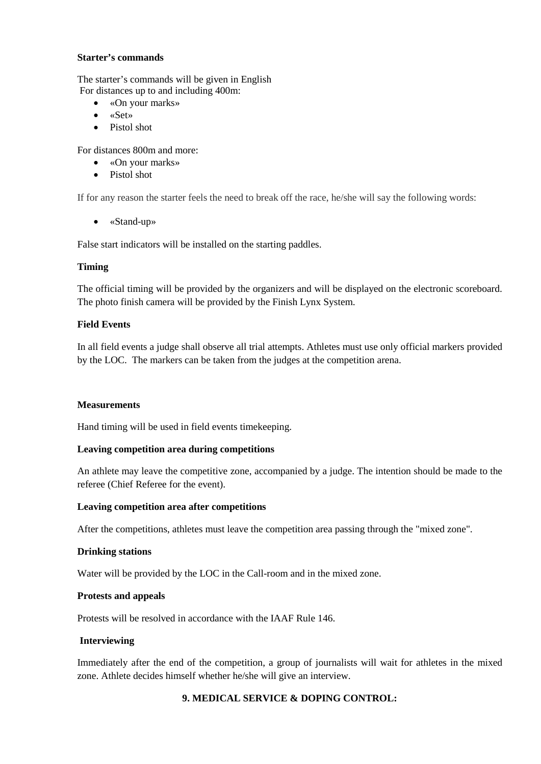#### **Starter's commands**

The starter's commands will be given in English For distances up to and including 400m:

- «On your marks»
- «Set»
- Pistol shot

For distances 800m and more:

- «On your marks»
- Pistol shot

If for any reason the starter feels the need to break off the race, he/she will say the following words:

• «Stand-up»

False start indicators will be installed on the starting paddles.

### **Timing**

The official timing will be provided by the organizers and will be displayed on the electronic scoreboard. The photo finish camera will be provided by the Finish Lynx System.

# **Field Events**

In all field events a judge shall observe all trial attempts. Athletes must use only official markers provided by the LOC. The markers can be taken from the judges at the competition arena.

### **Measurements**

Hand timing will be used in field events timekeeping.

### **Leaving competition area during competitions**

An athlete may leave the competitive zone, accompanied by a judge. The intention should be made to the referee (Chief Referee for the event).

### **Leaving competition area after competitions**

After the competitions, athletes must leave the competition area passing through the "mixed zone".

### **Drinking stations**

Water will be provided by the LOC in the Call-room and in the mixed zone.

### **Protests and appeals**

Protests will be resolved in accordance with the IAAF Rule 146.

### **Interviewing**

Immediately after the end of the competition, a group of journalists will wait for athletes in the mixed zone. Athlete decides himself whether he/she will give an interview.

# **9. MEDICAL SERVICE & DOPING CONTROL:**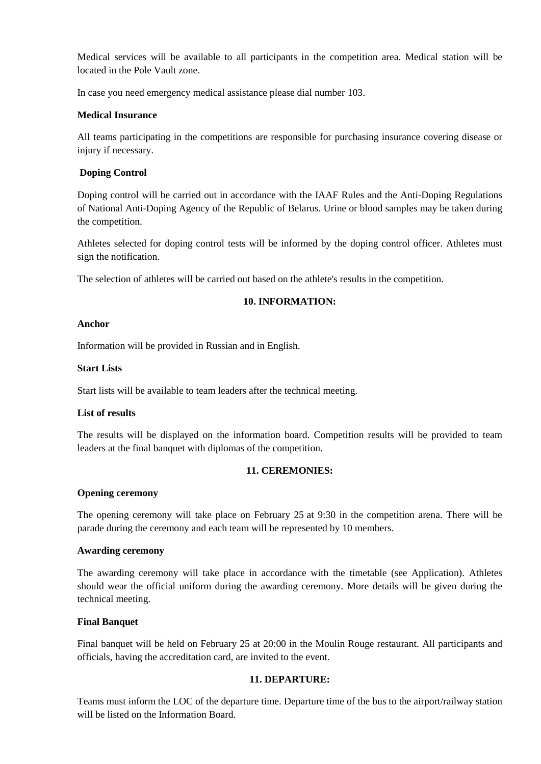Medical services will be available to all participants in the competition area. Medical station will be located in the Pole Vault zone.

In case you need emergency medical assistance please dial number 103.

# **Medical Insurance**

All teams participating in the competitions are responsible for purchasing insurance covering disease or injury if necessary.

# **Doping Control**

Doping control will be carried out in accordance with the IAAF Rules and the Anti-Doping Regulations of National Anti-Doping Agency of the Republic of Belarus. Urine or blood samples may be taken during the competition.

Athletes selected for doping control tests will be informed by the doping control officer. Athletes must sign the notification.

The selection of athletes will be carried out based on the athlete's results in the competition.

# **10. INFORMATION:**

### **Anchor**

Information will be provided in Russian and in English.

# **Start Lists**

Start lists will be available to team leaders after the technical meeting.

### **List of results**

The results will be displayed on the information board. Competition results will be provided to team leaders at the final banquet with diplomas of the competition.

### **11. CEREMONIES:**

### **Opening ceremony**

The opening ceremony will take place on February 25 at 9:30 in the competition arena. There will be parade during the ceremony and each team will be represented by 10 members.

# **Awarding ceremony**

The awarding ceremony will take place in accordance with the timetable (see Application). Athletes should wear the official uniform during the awarding ceremony. More details will be given during the technical meeting.

# **Final Banquet**

Final banquet will be held on February 25 at 20:00 in the Moulin Rouge restaurant. All participants and officials, having the accreditation card, are invited to the event.

# **11. DEPARTURE:**

Teams must inform the LOC of the departure time. Departure time of the bus to the airport/railway station will be listed on the Information Board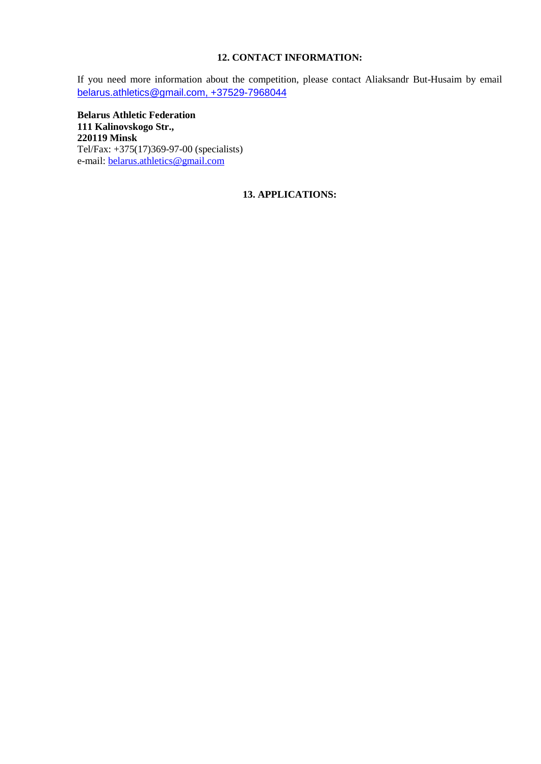# **12. CONTACT INFORMATION:**

If you need more information about the competition, please contact Aliaksandr But-Husaim by email [belarus.athletics@gmail.com,](mailto:belarus.athletics@gmail.com) +37529-7968044

**Belarus Athletic Federation 111 Kalinovskogo Str., 220119 Minsk** Tel/Fax: +375(17)369-97-00 (specialists) e-mail: <u>belarus.athletics@gmail.com</u>

# **13. APPLICATIONS:**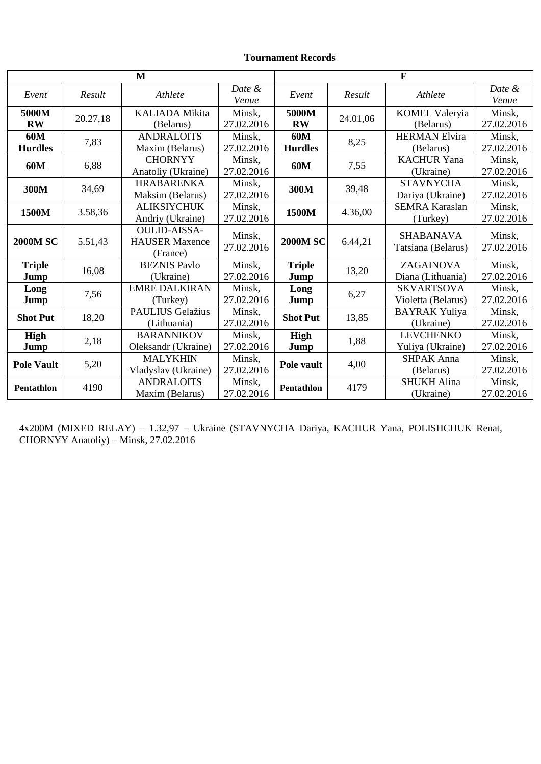# **Tournament Records**

| M                     |          |                                                          | $\mathbf{F}$         |                       |          |                                         |                      |
|-----------------------|----------|----------------------------------------------------------|----------------------|-----------------------|----------|-----------------------------------------|----------------------|
| Event                 | Result   | Athlete                                                  | Date &<br>Venue      | Event                 | Result   | Athlete                                 | Date &<br>Venue      |
| 5000M<br><b>RW</b>    | 20.27,18 | <b>KALIADA Mikita</b><br>(Belarus)                       | Minsk,<br>27.02.2016 | 5000M<br><b>RW</b>    | 24.01,06 | <b>KOMEL Valeryia</b><br>(Belarus)      | Minsk,<br>27.02.2016 |
| 60M<br><b>Hurdles</b> | 7,83     | <b>ANDRALOITS</b><br>Maxim (Belarus)                     | Minsk,<br>27.02.2016 | 60M<br><b>Hurdles</b> | 8,25     | <b>HERMAN Elvira</b><br>(Belarus)       | Minsk,<br>27.02.2016 |
| 60M                   | 6,88     | <b>CHORNYY</b><br>Anatoliy (Ukraine)                     | Minsk,<br>27.02.2016 | 60M                   | 7,55     | <b>KACHUR Yana</b><br>(Ukraine)         | Minsk,<br>27.02.2016 |
| 300M                  | 34,69    | <b>HRABARENKA</b><br>Maksim (Belarus)                    | Minsk,<br>27.02.2016 | 300M                  | 39,48    | <b>STAVNYCHA</b><br>Dariya (Ukraine)    | Minsk,<br>27.02.2016 |
| 1500M                 | 3.58,36  | <b>ALIKSIYCHUK</b><br>Andriy (Ukraine)                   | Minsk,<br>27.02.2016 | 1500M                 | 4.36,00  | <b>SEMRA Karaslan</b><br>(Turkey)       | Minsk,<br>27.02.2016 |
| <b>2000M SC</b>       | 5.51,43  | <b>OULID-AISSA-</b><br><b>HAUSER Maxence</b><br>(France) | Minsk,<br>27.02.2016 | <b>2000M SC</b>       | 6.44,21  | <b>SHABANAVA</b><br>Tatsiana (Belarus)  | Minsk,<br>27.02.2016 |
| <b>Triple</b><br>Jump | 16,08    | <b>BEZNIS Pavlo</b><br>(Ukraine)                         | Minsk,<br>27.02.2016 | <b>Triple</b><br>Jump | 13,20    | ZAGAINOVA<br>Diana (Lithuania)          | Minsk,<br>27.02.2016 |
| Long<br>Jump          | 7,56     | <b>EMRE DALKIRAN</b><br>(Turkey)                         | Minsk,<br>27.02.2016 | Long<br>Jump          | 6,27     | <b>SKVARTSOVA</b><br>Violetta (Belarus) | Minsk,<br>27.02.2016 |
| <b>Shot Put</b>       | 18,20    | <b>PAULIUS Gelažius</b><br>(Lithuania)                   | Minsk,<br>27.02.2016 | <b>Shot Put</b>       | 13,85    | <b>BAYRAK Yuliya</b><br>(Ukraine)       | Minsk,<br>27.02.2016 |
| High<br>Jump          | 2,18     | <b>BARANNIKOV</b><br>Oleksandr (Ukraine)                 | Minsk,<br>27.02.2016 | High<br>Jump          | 1,88     | <b>LEVCHENKO</b><br>Yuliya (Ukraine)    | Minsk,<br>27.02.2016 |
| <b>Pole Vault</b>     | 5,20     | <b>MALYKHIN</b><br>Vladyslav (Ukraine)                   | Minsk,<br>27.02.2016 | Pole vault            | 4,00     | <b>SHPAK Anna</b><br>(Belarus)          | Minsk,<br>27.02.2016 |
| <b>Pentathlon</b>     | 4190     | <b>ANDRALOITS</b><br>Maxim (Belarus)                     | Minsk,<br>27.02.2016 | Pentathlon            | 4179     | <b>SHUKH Alina</b><br>(Ukraine)         | Minsk,<br>27.02.2016 |

4х200M (MIXED RELAY) – 1.32,97 – Ukraine (STAVNYCHA Dariya, KACHUR Yana, POLISHCHUK Renat, CHORNYY Anatoliy) – Minsk, 27.02.2016